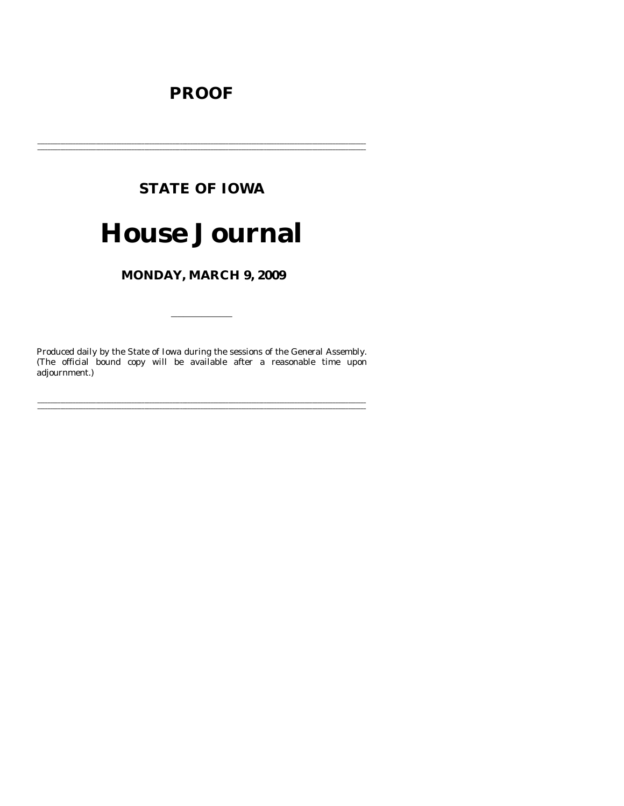# **PROOF**

# **STATE OF IOWA**

# **House Journal**

MONDAY, MARCH 9, 2009

Produced daily by the State of Iowa during the sessions of the General Assembly. (The official bound copy will be available after a reasonable time upon adjournment.)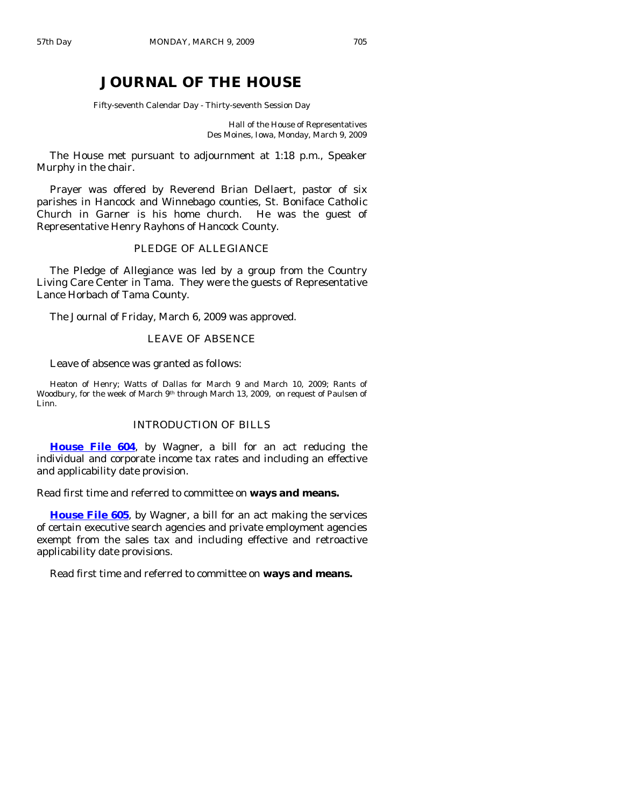# **JOURNAL OF THE HOUSE**

Fifty-seventh Calendar Day - Thirty-seventh Session Day

Hall of the House of Representatives Des Moines, Iowa, Monday, March 9, 2009

 The House met pursuant to adjournment at 1:18 p.m., Speaker Murphy in the chair.

 Prayer was offered by Reverend Brian Dellaert, pastor of six parishes in Hancock and Winnebago counties, St. Boniface Catholic Church in Garner is his home church. He was the guest of Representative Henry Rayhons of Hancock County.

# PLEDGE OF ALLEGIANCE

 The Pledge of Allegiance was led by a group from the Country Living Care Center in Tama. They were the guests of Representative Lance Horbach of Tama County.

The Journal of Friday, March 6, 2009 was approved.

# LEAVE OF ABSENCE

Leave of absence was granted as follows:

Heaton of Henry; Watts of Dallas for March 9 and March 10, 2009; Rants of Woodbury, for the week of March 9<sup>th</sup> through March 13, 2009, on request of Paulsen of Linn.

## INTRODUCTION OF BILLS

**[House File 604](http://coolice.legis.state.ia.us/Cool-ICE/default.asp?Category=billinfo&Service=Billbook&frame=1&GA=83&hbill=HF604)**, by Wagner, a bill for an act reducing the individual and corporate income tax rates and including an effective and applicability date provision.

Read first time and referred to committee on **ways and means.** 

**[House File 605](http://coolice.legis.state.ia.us/Cool-ICE/default.asp?Category=billinfo&Service=Billbook&frame=1&GA=83&hbill=HF605)**, by Wagner, a bill for an act making the services of certain executive search agencies and private employment agencies exempt from the sales tax and including effective and retroactive applicability date provisions.

Read first time and referred to committee on **ways and means.**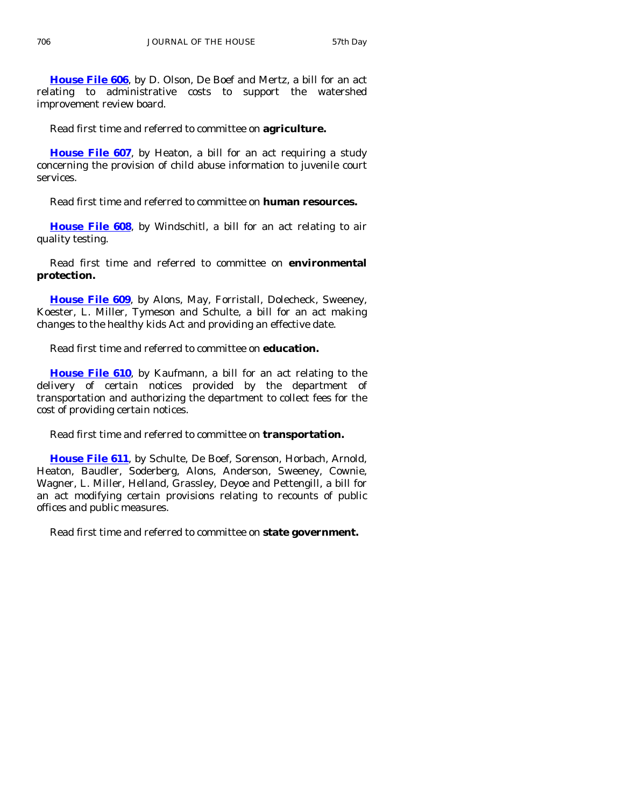**[House File 606](http://coolice.legis.state.ia.us/Cool-ICE/default.asp?Category=billinfo&Service=Billbook&frame=1&GA=83&hbill=HF606)**, by D. Olson, De Boef and Mertz, a bill for an act relating to administrative costs to support the watershed improvement review board.

Read first time and referred to committee on **agriculture.** 

**[House File 607](http://coolice.legis.state.ia.us/Cool-ICE/default.asp?Category=billinfo&Service=Billbook&frame=1&GA=83&hbill=HF607)**, by Heaton, a bill for an act requiring a study concerning the provision of child abuse information to juvenile court services.

Read first time and referred to committee on **human resources.** 

**[House File 608](http://coolice.legis.state.ia.us/Cool-ICE/default.asp?Category=billinfo&Service=Billbook&frame=1&GA=83&hbill=HF608)**, by Windschitl, a bill for an act relating to air quality testing.

 Read first time and referred to committee on **environmental protection.** 

**[House File 609](http://coolice.legis.state.ia.us/Cool-ICE/default.asp?Category=billinfo&Service=Billbook&frame=1&GA=83&hbill=HF609)**, by Alons, May, Forristall, Dolecheck, Sweeney, Koester, L. Miller, Tymeson and Schulte, a bill for an act making changes to the healthy kids Act and providing an effective date.

Read first time and referred to committee on **education.** 

**[House File 610](http://coolice.legis.state.ia.us/Cool-ICE/default.asp?Category=billinfo&Service=Billbook&frame=1&GA=83&hbill=HF610)**, by Kaufmann, a bill for an act relating to the delivery of certain notices provided by the department of transportation and authorizing the department to collect fees for the cost of providing certain notices.

Read first time and referred to committee on **transportation.** 

**[House File 611](http://coolice.legis.state.ia.us/Cool-ICE/default.asp?Category=billinfo&Service=Billbook&frame=1&GA=83&hbill=HF611)**, by Schulte, De Boef, Sorenson, Horbach, Arnold, Heaton, Baudler, Soderberg, Alons, Anderson, Sweeney, Cownie, Wagner, L. Miller, Helland, Grassley, Deyoe and Pettengill, a bill for an act modifying certain provisions relating to recounts of public offices and public measures.

Read first time and referred to committee on **state government.**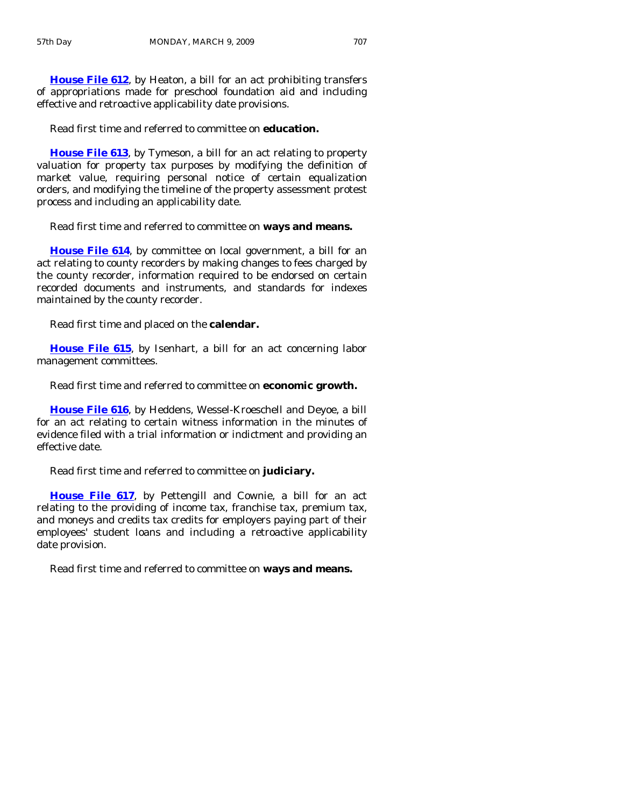**[House File 612](http://coolice.legis.state.ia.us/Cool-ICE/default.asp?Category=billinfo&Service=Billbook&frame=1&GA=83&hbill=HF612)**, by Heaton, a bill for an act prohibiting transfers of appropriations made for preschool foundation aid and including effective and retroactive applicability date provisions.

Read first time and referred to committee on **education.** 

**[House File 613](http://coolice.legis.state.ia.us/Cool-ICE/default.asp?Category=billinfo&Service=Billbook&frame=1&GA=83&hbill=HF613)**, by Tymeson, a bill for an act relating to property valuation for property tax purposes by modifying the definition of market value, requiring personal notice of certain equalization orders, and modifying the timeline of the property assessment protest process and including an applicability date.

Read first time and referred to committee on **ways and means.** 

**[House File 614](http://coolice.legis.state.ia.us/Cool-ICE/default.asp?Category=billinfo&Service=Billbook&frame=1&GA=83&hbill=HF614)**, by committee on local government, a bill for an act relating to county recorders by making changes to fees charged by the county recorder, information required to be endorsed on certain recorded documents and instruments, and standards for indexes maintained by the county recorder.

Read first time and placed on the **calendar.** 

**[House File 615](http://coolice.legis.state.ia.us/Cool-ICE/default.asp?Category=billinfo&Service=Billbook&frame=1&GA=83&hbill=HF615)**, by Isenhart, a bill for an act concerning labor management committees.

Read first time and referred to committee on **economic growth.** 

**[House File 616](http://coolice.legis.state.ia.us/Cool-ICE/default.asp?Category=billinfo&Service=Billbook&frame=1&GA=83&hbill=HF616)**, by Heddens, Wessel-Kroeschell and Deyoe, a bill for an act relating to certain witness information in the minutes of evidence filed with a trial information or indictment and providing an effective date.

Read first time and referred to committee on **judiciary.** 

**[House File 617](http://coolice.legis.state.ia.us/Cool-ICE/default.asp?Category=billinfo&Service=Billbook&frame=1&GA=83&hbill=HF617)**, by Pettengill and Cownie, a bill for an act relating to the providing of income tax, franchise tax, premium tax, and moneys and credits tax credits for employers paying part of their employees' student loans and including a retroactive applicability date provision.

Read first time and referred to committee on **ways and means.**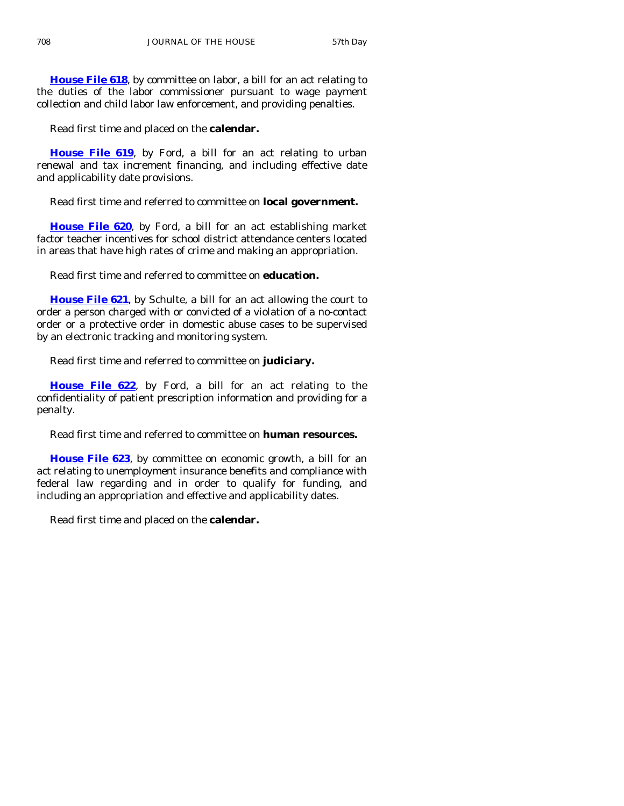**[House File 618](http://coolice.legis.state.ia.us/Cool-ICE/default.asp?Category=billinfo&Service=Billbook&frame=1&GA=83&hbill=HF618)**, by committee on labor, a bill for an act relating to the duties of the labor commissioner pursuant to wage payment collection and child labor law enforcement, and providing penalties.

Read first time and placed on the **calendar.** 

**[House File 619](http://coolice.legis.state.ia.us/Cool-ICE/default.asp?Category=billinfo&Service=Billbook&frame=1&GA=83&hbill=HF619)**, by Ford, a bill for an act relating to urban renewal and tax increment financing, and including effective date and applicability date provisions.

# Read first time and referred to committee on **local government.**

**[House File 620](http://coolice.legis.state.ia.us/Cool-ICE/default.asp?Category=billinfo&Service=Billbook&frame=1&GA=83&hbill=HF620)**, by Ford, a bill for an act establishing market factor teacher incentives for school district attendance centers located in areas that have high rates of crime and making an appropriation.

Read first time and referred to committee on **education.** 

**[House File 621](http://coolice.legis.state.ia.us/Cool-ICE/default.asp?Category=billinfo&Service=Billbook&frame=1&GA=83&hbill=HF621)**, by Schulte, a bill for an act allowing the court to order a person charged with or convicted of a violation of a no-contact order or a protective order in domestic abuse cases to be supervised by an electronic tracking and monitoring system.

Read first time and referred to committee on **judiciary.** 

**[House File 622](http://coolice.legis.state.ia.us/Cool-ICE/default.asp?Category=billinfo&Service=Billbook&frame=1&GA=83&hbill=HF622)**, by Ford, a bill for an act relating to the confidentiality of patient prescription information and providing for a penalty.

Read first time and referred to committee on **human resources.** 

**[House File 623](http://coolice.legis.state.ia.us/Cool-ICE/default.asp?Category=billinfo&Service=Billbook&frame=1&GA=83&hbill=HF623)**, by committee on economic growth, a bill for an act relating to unemployment insurance benefits and compliance with federal law regarding and in order to qualify for funding, and including an appropriation and effective and applicability dates.

Read first time and placed on the **calendar.**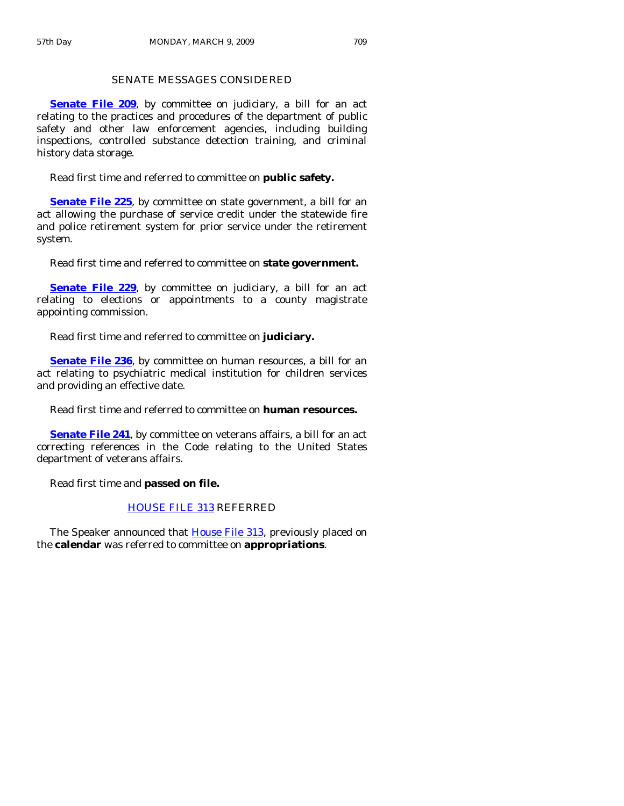# SENATE MESSAGES CONSIDERED

**[Senate File 209](http://coolice.legis.state.ia.us/Cool-ICE/default.asp?Category=billinfo&Service=Billbook&frame=1&GA=83&hbill=SF209),** by committee on judiciary, a bill for an act relating to the practices and procedures of the department of public safety and other law enforcement agencies, including building inspections, controlled substance detection training, and criminal history data storage.

Read first time and referred to committee on **public safety.** 

**[Senate File 225](http://coolice.legis.state.ia.us/Cool-ICE/default.asp?Category=billinfo&Service=Billbook&frame=1&GA=83&hbill=SF225)**, by committee on state government, a bill for an act allowing the purchase of service credit under the statewide fire and police retirement system for prior service under the retirement system.

Read first time and referred to committee on **state government.** 

**[Senate File 229](http://coolice.legis.state.ia.us/Cool-ICE/default.asp?Category=billinfo&Service=Billbook&frame=1&GA=83&hbill=SF229)**, by committee on judiciary, a bill for an act relating to elections or appointments to a county magistrate appointing commission.

Read first time and referred to committee on **judiciary.** 

**[Senate File 236](http://coolice.legis.state.ia.us/Cool-ICE/default.asp?Category=billinfo&Service=Billbook&frame=1&GA=83&hbill=SF236)**, by committee on human resources, a bill for an act relating to psychiatric medical institution for children services and providing an effective date.

Read first time and referred to committee on **human resources.** 

**[Senate File 241](http://coolice.legis.state.ia.us/Cool-ICE/default.asp?Category=billinfo&Service=Billbook&frame=1&GA=83&hbill=SF241)**, by committee on veterans affairs, a bill for an act correcting references in the Code relating to the United States department of veterans affairs.

Read first time and **passed on file.** 

# [HOUSE FILE 313](http://coolice.legis.state.ia.us/Cool-ICE/default.asp?Category=billinfo&Service=Billbook&frame=1&GA=83&hbill=HF313) REFERRED

The Speaker announced that [House File 313](http://coolice.legis.state.ia.us/Cool-ICE/default.asp?Category=billinfo&Service=Billbook&frame=1&GA=83&hbill=HF313), previously placed on the **calendar** was referred to committee on **appropriations**.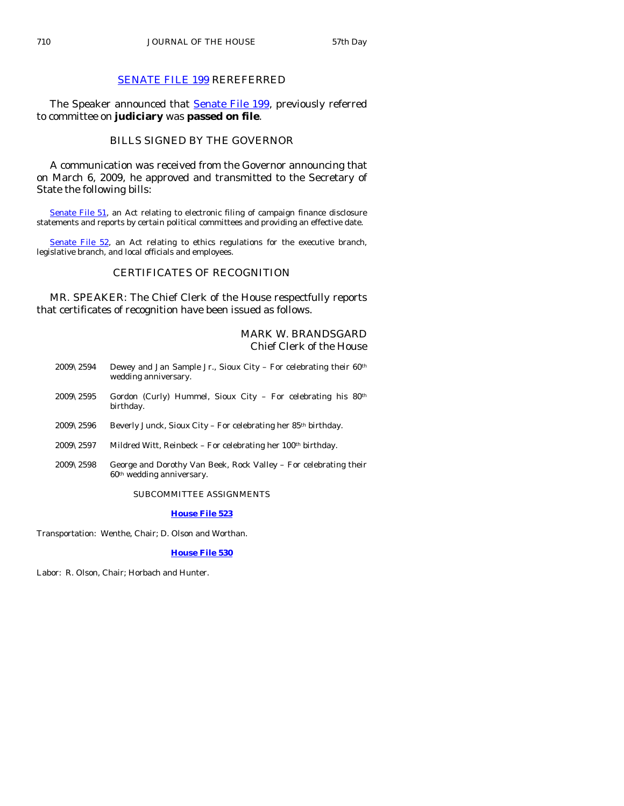# [SENATE FILE 199](http://coolice.legis.state.ia.us/Cool-ICE/default.asp?Category=billinfo&Service=Billbook&frame=1&GA=83&hbill=SF199) REREFERRED

The Speaker announced that **[Senate File 199](http://coolice.legis.state.ia.us/Cool-ICE/default.asp?Category=billinfo&Service=Billbook&frame=1&GA=83&hbill=SF199)**, previously referred to committee on **judiciary** was **passed on file**.

# BILLS SIGNED BY THE GOVERNOR

 A communication was received from the Governor announcing that on March 6, 2009, he approved and transmitted to the Secretary of State the following bills:

[Senate File 51](http://coolice.legis.state.ia.us/Cool-ICE/default.asp?Category=billinfo&Service=Billbook&frame=1&GA=83&hbill=SF51), an Act relating to electronic filing of campaign finance disclosure statements and reports by certain political committees and providing an effective date.

[Senate File 52,](http://coolice.legis.state.ia.us/Cool-ICE/default.asp?Category=billinfo&Service=Billbook&frame=1&GA=83&hbill=SF52) an Act relating to ethics regulations for the executive branch, legislative branch, and local officials and employees.

# CERTIFICATES OF RECOGNITION

 MR. SPEAKER: The Chief Clerk of the House respectfully reports that certificates of recognition have been issued as follows.

# MARK W. BRANDSGARD Chief Clerk of the House

- 2009\2594 Dewey and Jan Sample Jr., Sioux City For celebrating their  $60<sup>th</sup>$ wedding anniversary.
- 2009\2595 Gordon (Curly) Hummel, Sioux City For celebrating his 80th birthday.
- 2009\2596 Beverly Junck, Sioux City For celebrating her 85th birthday.
- 2009\2597 Mildred Witt, Reinbeck For celebrating her  $100<sup>th</sup>$  birthday.
- 2009\2598 George and Dorothy Van Beek, Rock Valley For celebrating their 60th wedding anniversary.

#### SUBCOMMITTEE ASSIGNMENTS

#### **[House File 523](http://coolice.legis.state.ia.us/Cool-ICE/default.asp?Category=billinfo&Service=Billbook&frame=1&GA=83&hbill=HF523)**

Transportation: Wenthe, Chair; D. Olson and Worthan.

#### **[House File 530](http://coolice.legis.state.ia.us/Cool-ICE/default.asp?Category=billinfo&Service=Billbook&frame=1&GA=83&hbill=HF530)**

Labor: R. Olson, Chair; Horbach and Hunter.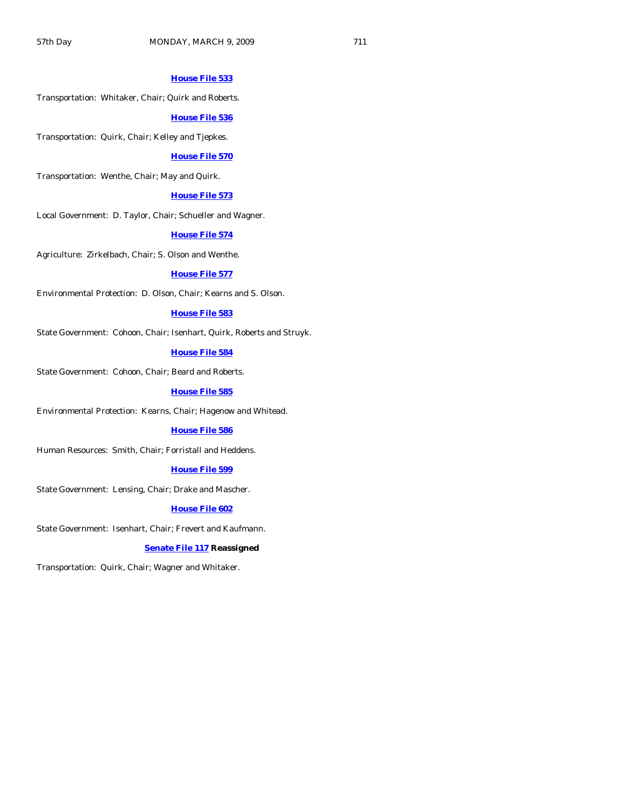#### **[House File 533](http://coolice.legis.state.ia.us/Cool-ICE/default.asp?Category=billinfo&Service=Billbook&frame=1&GA=83&hbill=HF533)**

Transportation: Whitaker, Chair; Quirk and Roberts.

#### **[House File 536](http://coolice.legis.state.ia.us/Cool-ICE/default.asp?Category=billinfo&Service=Billbook&frame=1&GA=83&hbill=HF536)**

Transportation: Quirk, Chair; Kelley and Tjepkes.

#### **[House File 570](http://coolice.legis.state.ia.us/Cool-ICE/default.asp?Category=billinfo&Service=Billbook&frame=1&GA=83&hbill=HF570)**

Transportation: Wenthe, Chair; May and Quirk.

#### **[House File 573](http://coolice.legis.state.ia.us/Cool-ICE/default.asp?Category=billinfo&Service=Billbook&frame=1&GA=83&hbill=HF573)**

Local Government: D. Taylor, Chair; Schueller and Wagner.

#### **[House File 574](http://coolice.legis.state.ia.us/Cool-ICE/default.asp?Category=billinfo&Service=Billbook&frame=1&GA=83&hbill=HF574)**

Agriculture: Zirkelbach, Chair; S. Olson and Wenthe.

#### **[House File 577](http://coolice.legis.state.ia.us/Cool-ICE/default.asp?Category=billinfo&Service=Billbook&frame=1&GA=83&hbill=HF577)**

Environmental Protection: D. Olson, Chair; Kearns and S. Olson.

#### **[House File 583](http://coolice.legis.state.ia.us/Cool-ICE/default.asp?Category=billinfo&Service=Billbook&frame=1&GA=83&hbill=HF583)**

State Government: Cohoon, Chair; Isenhart, Quirk, Roberts and Struyk.

# **[House File 584](http://coolice.legis.state.ia.us/Cool-ICE/default.asp?Category=billinfo&Service=Billbook&frame=1&GA=83&hbill=HF584)**

State Government: Cohoon, Chair; Beard and Roberts.

#### **[House File 585](http://coolice.legis.state.ia.us/Cool-ICE/default.asp?Category=billinfo&Service=Billbook&frame=1&GA=83&hbill=HF585)**

Environmental Protection: Kearns, Chair; Hagenow and Whitead.

#### **[House File 586](http://coolice.legis.state.ia.us/Cool-ICE/default.asp?Category=billinfo&Service=Billbook&frame=1&GA=83&hbill=HF586)**

Human Resources: Smith, Chair; Forristall and Heddens.

#### **[House File 599](http://coolice.legis.state.ia.us/Cool-ICE/default.asp?Category=billinfo&Service=Billbook&frame=1&GA=83&hbill=HF599)**

State Government: Lensing, Chair; Drake and Mascher.

# **[House File 602](http://coolice.legis.state.ia.us/Cool-ICE/default.asp?Category=billinfo&Service=Billbook&frame=1&GA=83&hbill=HF602)**

State Government: Isenhart, Chair; Frevert and Kaufmann.

#### **[Senate File 117](http://coolice.legis.state.ia.us/Cool-ICE/default.asp?Category=billinfo&Service=Billbook&frame=1&GA=83&hbill=SF117) Reassigned**

Transportation: Quirk, Chair; Wagner and Whitaker.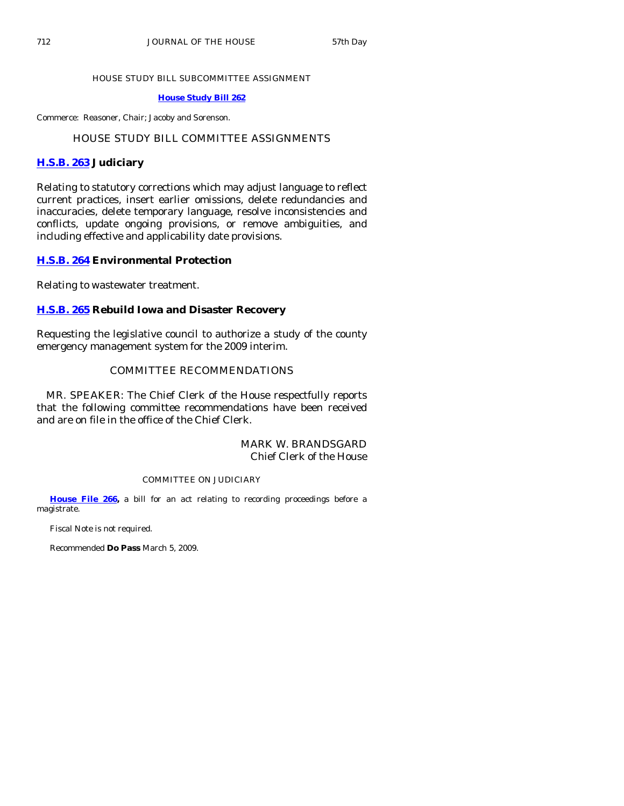#### HOUSE STUDY BILL SUBCOMMITTEE ASSIGNMENT

## **[House Study Bill 262](http://coolice.legis.state.ia.us/Cool-ICE/default.asp?Category=billinfo&Service=Billbook&frame=1&GA=83&hbill=HSB262)**

Commerce: Reasoner, Chair; Jacoby and Sorenson.

# HOUSE STUDY BILL COMMITTEE ASSIGNMENTS

# **[H.S.B. 263](http://coolice.legis.state.ia.us/Cool-ICE/default.asp?Category=billinfo&Service=Billbook&frame=1&GA=83&hbill=HSB263) Judiciary**

Relating to statutory corrections which may adjust language to reflect current practices, insert earlier omissions, delete redundancies and inaccuracies, delete temporary language, resolve inconsistencies and conflicts, update ongoing provisions, or remove ambiguities, and including effective and applicability date provisions.

## **[H.S.B. 264](http://coolice.legis.state.ia.us/Cool-ICE/default.asp?Category=billinfo&Service=Billbook&frame=1&GA=83&hbill=HSB264) Environmental Protection**

Relating to wastewater treatment.

# **[H.S.B. 265](http://coolice.legis.state.ia.us/Cool-ICE/default.asp?Category=billinfo&Service=Billbook&frame=1&GA=83&hbill=HSB265) Rebuild Iowa and Disaster Recovery**

Requesting the legislative council to authorize a study of the county emergency management system for the 2009 interim.

# COMMITTEE RECOMMENDATIONS

 MR. SPEAKER: The Chief Clerk of the House respectfully reports that the following committee recommendations have been received and are on file in the office of the Chief Clerk.

# MARK W. BRANDSGARD Chief Clerk of the House

#### COMMITTEE ON JUDICIARY

**[House File 266,](http://coolice.legis.state.ia.us/Cool-ICE/default.asp?Category=billinfo&Service=Billbook&frame=1&GA=83&hbill=HF266)** a bill for an act relating to recording proceedings before a magistrate.

Fiscal Note is not required.

Recommended **Do Pass** March 5, 2009.